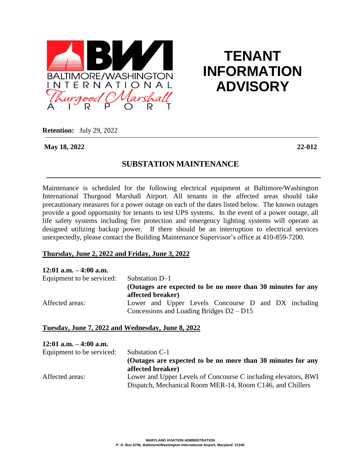

# **TENANT INFORMATION ADVISORY**

**Retention:** July 29, 2022

**May 18, 2022 22-012**

## **SUBSTATION MAINTENANCE**

Maintenance is scheduled for the following electrical equipment at Baltimore/Washington International Thurgood Marshall Airport. All tenants in the affected areas should take precautionary measures for a power outage on each of the dates listed below. The known outages provide a good opportunity for tenants to test UPS systems. In the event of a power outage, all life safety systems including fire protection and emergency lighting systems will operate as designed utilizing backup power. If there should be an interruption to electrical services unexpectedly, please contact the Building Maintenance Supervisor's office at 410-859-7200.

### **Thursday, June 2, 2022 and Friday, June 3, 2022**

| $12:01$ a.m. $-4:00$ a.m. |                                                                                                   |
|---------------------------|---------------------------------------------------------------------------------------------------|
| Equipment to be serviced: | Substation D-1                                                                                    |
|                           | (Outages are expected to be no more than 30 minutes for any<br>affected breaker)                  |
| Affected areas:           | Lower and Upper Levels Concourse D and DX including<br>Concessions and Loading Bridges $D2 - D15$ |

### **Tuesday, June 7, 2022 and Wednesday, June 8, 2022**

## **12:01 a.m. – 4:00 a.m.** Equipment to be serviced: Substation C-1 **(Outages are expected to be no more than 30 minutes for any affected breaker)** Affected areas: Lower and Upper Levels of Concourse C including elevators, BWI Dispatch, Mechanical Room MER-14, Room C146, and Chillers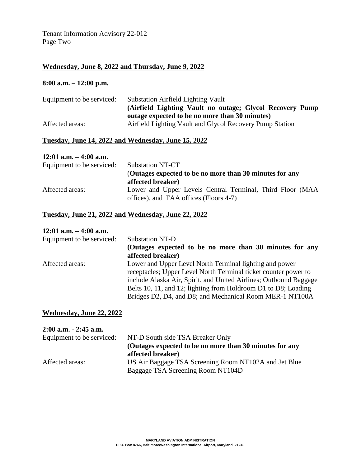Tenant Information Advisory 22-012 Page Two

## **Wednesday, June 8, 2022 and Thursday, June 9, 2022**

### **8:00 a.m. – 12:00 p.m.**

| Equipment to be serviced: | <b>Substation Airfield Lighting Vault</b>                 |
|---------------------------|-----------------------------------------------------------|
|                           | (Airfield Lighting Vault no outage; Glycol Recovery Pump) |
|                           | outage expected to be no more than 30 minutes)            |
| Affected areas:           | Airfield Lighting Vault and Glycol Recovery Pump Station  |

### **Tuesday, June 14, 2022 and Wednesday, June 15, 2022**

#### **12:01 a.m. – 4:00 a.m.**

| Equipment to be serviced: | <b>Substation NT-CT</b>                                                                             |
|---------------------------|-----------------------------------------------------------------------------------------------------|
|                           | (Outages expected to be no more than 30 minutes for any                                             |
|                           | affected breaker)                                                                                   |
| Affected areas:           | Lower and Upper Levels Central Terminal, Third Floor (MAA<br>offices), and FAA offices (Floors 4-7) |

#### **Tuesday, June 21, 2022 and Wednesday, June 22, 2022**

### **12:01 a.m. – 4:00 a.m.**

| <b>Substation NT-D</b>                                            |
|-------------------------------------------------------------------|
| (Outages expected to be no more than 30 minutes for any           |
| affected breaker)                                                 |
| Lower and Upper Level North Terminal lighting and power           |
| receptacles; Upper Level North Terminal ticket counter power to   |
| include Alaska Air, Spirit, and United Airlines; Outbound Baggage |
| Belts 10, 11, and 12; lighting from Holdroom D1 to D8; Loading    |
| Bridges D2, D4, and D8; and Mechanical Room MER-1 NT100A          |
|                                                                   |

## **Wednesday, June 22, 2022**

| $2:00$ a.m. $-2:45$ a.m.  |                                                         |
|---------------------------|---------------------------------------------------------|
| Equipment to be serviced: | NT-D South side TSA Breaker Only                        |
|                           | (Outages expected to be no more than 30 minutes for any |
|                           | affected breaker)                                       |
| Affected areas:           | US Air Baggage TSA Screening Room NT102A and Jet Blue   |
|                           | Baggage TSA Screening Room NT104D                       |